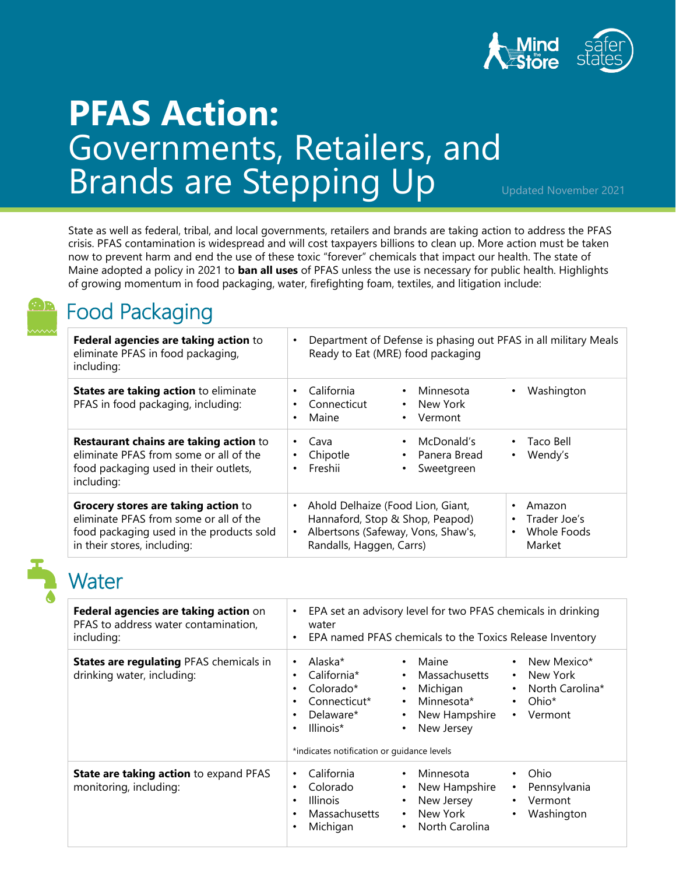

# **PFAS Action:**  Governments, Retailers, and Brands are Stepping Up

Updated November 2021

State as well as federal, tribal, and local governments, retailers and brands are taking action to address the PFAS crisis. PFAS contamination is widespread and will cost taxpayers billions to clean up. More action must be taken now to prevent harm and end the use of these toxic "forever" chemicals that impact our health. The state of Maine adopted a policy in 2021 to **ban all uses** of PFAS unless the use is necessary for public health. Highlights of growing momentum in food packaging, water, firefighting foam, textiles, and litigation include:



### Food Packaging

| Federal agencies are taking action to<br>eliminate PFAS in food packaging,<br>including:                                                                 | Department of Defense is phasing out PFAS in all military Meals<br>$\bullet$<br>Ready to Eat (MRE) food packaging                                                |                                                                                        |
|----------------------------------------------------------------------------------------------------------------------------------------------------------|------------------------------------------------------------------------------------------------------------------------------------------------------------------|----------------------------------------------------------------------------------------|
| <b>States are taking action to eliminate</b><br>PFAS in food packaging, including:                                                                       | California<br>• Minnesota<br>$\bullet$<br>Connecticut<br>• New York<br>٠<br>Maine<br>Vermont<br>$\bullet$<br>٠                                                   | • Washington                                                                           |
| <b>Restaurant chains are taking action to</b><br>eliminate PFAS from some or all of the<br>food packaging used in their outlets,<br>including:           | McDonald's<br>Cava<br>٠<br>Chipotle<br>• Panera Bread<br>٠<br>Freshii<br>Sweetgreen<br>٠                                                                         | Taco Bell<br>$\bullet$<br>Wendy's<br>$\bullet$                                         |
| Grocery stores are taking action to<br>eliminate PFAS from some or all of the<br>food packaging used in the products sold<br>in their stores, including: | Ahold Delhaize (Food Lion, Giant,<br>$\bullet$<br>Hannaford, Stop & Shop, Peapod)<br>Albertsons (Safeway, Vons, Shaw's,<br>$\bullet$<br>Randalls, Haggen, Carrs) | Amazon<br>$\bullet$<br>Trader Joe's<br>$\bullet$<br>Whole Foods<br>$\bullet$<br>Market |



#### Water

| Federal agencies are taking action on<br>PFAS to address water contamination,<br>including: | EPA set an advisory level for two PFAS chemicals in drinking<br>$\bullet$<br>water<br>EPA named PFAS chemicals to the Toxics Release Inventory<br>$\bullet$                                                                                                                                                                                                                                                                                                                   |
|---------------------------------------------------------------------------------------------|-------------------------------------------------------------------------------------------------------------------------------------------------------------------------------------------------------------------------------------------------------------------------------------------------------------------------------------------------------------------------------------------------------------------------------------------------------------------------------|
| <b>States are regulating PFAS chemicals in</b><br>drinking water, including:                | Alaska*<br>Maine<br>New Mexico*<br>$\bullet$<br>$\bullet$<br>$\bullet$<br>California*<br>Massachusetts<br>New York<br>$\bullet$<br>$\bullet$<br>٠<br>Colorado*<br>Michigan<br>North Carolina*<br>$\bullet$<br>$\bullet$<br>٠<br>Minnesota*<br>Connecticut*<br>Ohio*<br>$\bullet$<br>$\bullet$<br>٠<br>Delaware*<br>New Hampshire<br>Vermont<br>$\bullet$<br>$\bullet$<br>$\bullet$<br>New Jersey<br>Illinois*<br>$\bullet$<br>٠<br>*indicates notification or quidance levels |
| State are taking action to expand PFAS<br>monitoring, including:                            | California<br>Minnesota<br>Ohio<br>$\bullet$<br>$\bullet$<br>$\bullet$<br>Colorado<br>New Hampshire<br>Pennsylvania<br>٠<br>$\bullet$<br>٠<br>New Jersey<br><b>Illinois</b><br>Vermont<br>$\bullet$<br>$\bullet$<br>٠<br>New York<br>Massachusetts<br>Washington<br>$\bullet$<br>$\bullet$<br>$\bullet$<br>North Carolina<br>Michigan<br>$\bullet$                                                                                                                            |